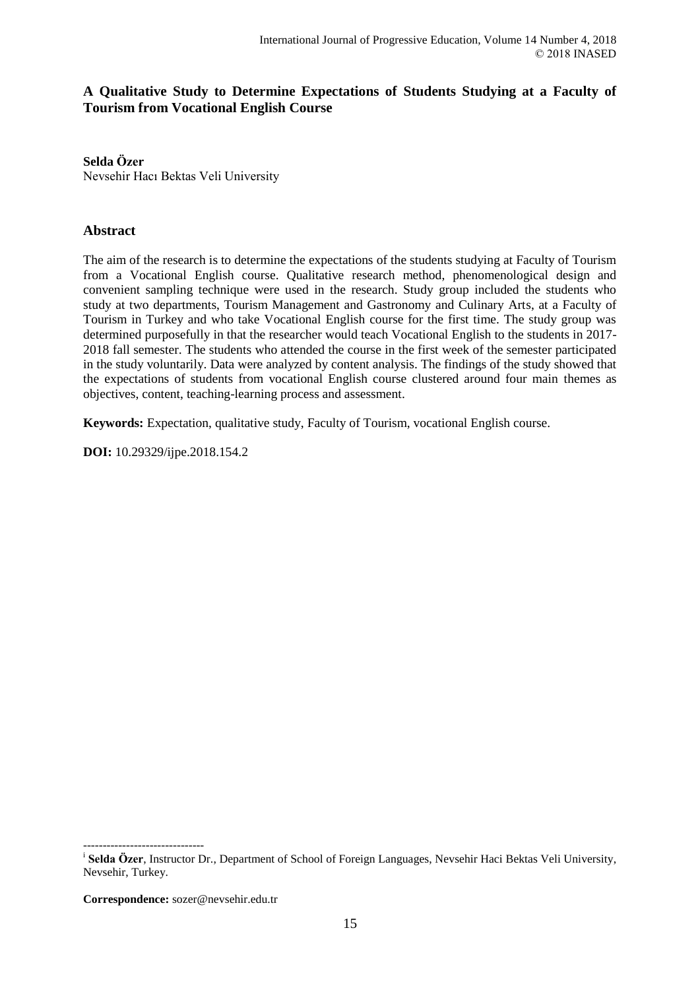# **A Qualitative Study to Determine Expectations of Students Studying at a Faculty of Tourism from Vocational English Course**

### **Selda Özer**

Nevsehir Hacı Bektas Veli University

# **Abstract**

The aim of the research is to determine the expectations of the students studying at Faculty of Tourism from a Vocational English course. Qualitative research method, phenomenological design and convenient sampling technique were used in the research. Study group included the students who study at two departments, Tourism Management and Gastronomy and Culinary Arts, at a Faculty of Tourism in Turkey and who take Vocational English course for the first time. The study group was determined purposefully in that the researcher would teach Vocational English to the students in 2017- 2018 fall semester. The students who attended the course in the first week of the semester participated in the study voluntarily. Data were analyzed by content analysis. The findings of the study showed that the expectations of students from vocational English course clustered around four main themes as objectives, content, teaching-learning process and assessment.

**Keywords:** Expectation, qualitative study, Faculty of Tourism, vocational English course.

**DOI:** 10.29329/ijpe.2018.154.2

**Correspondence:** sozer@nevsehir.edu.tr

-------------------------------

i **Selda Özer**, Instructor Dr., Department of School of Foreign Languages, Nevsehir Haci Bektas Veli University, Nevsehir, Turkey.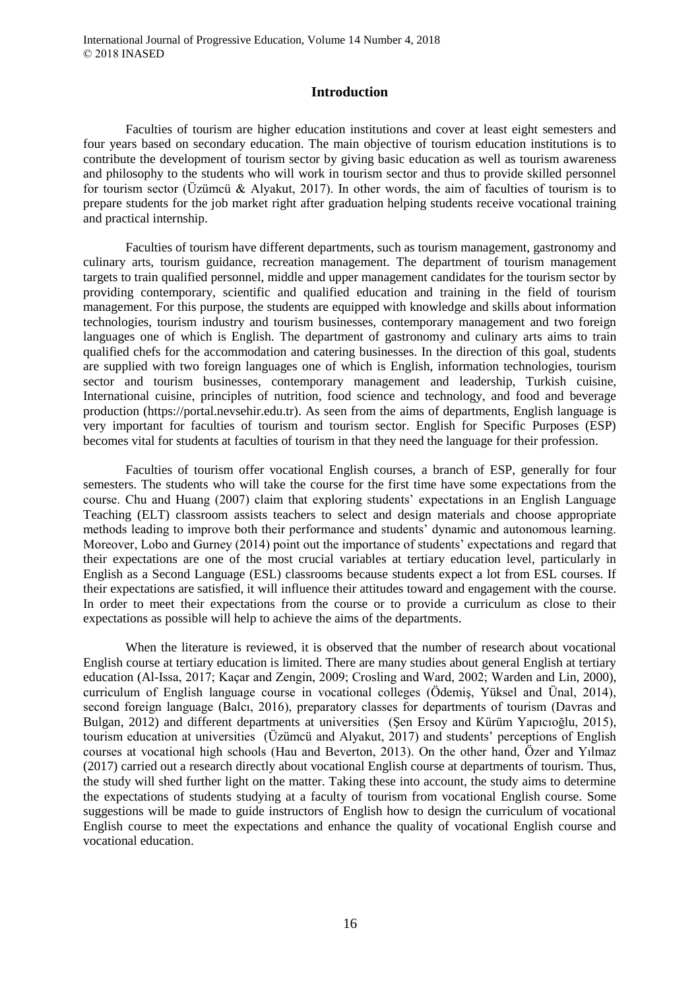### **Introduction**

Faculties of tourism are higher education institutions and cover at least eight semesters and four years based on secondary education. The main objective of tourism education institutions is to contribute the development of tourism sector by giving basic education as well as tourism awareness and philosophy to the students who will work in tourism sector and thus to provide skilled personnel for tourism sector (Üzümcü & Alyakut, 2017). In other words, the aim of faculties of tourism is to prepare students for the job market right after graduation helping students receive vocational training and practical internship.

Faculties of tourism have different departments, such as tourism management, gastronomy and culinary arts, tourism guidance, recreation management. The department of tourism management targets to train qualified personnel, middle and upper management candidates for the tourism sector by providing contemporary, scientific and qualified education and training in the field of tourism management. For this purpose, the students are equipped with knowledge and skills about information technologies, tourism industry and tourism businesses, contemporary management and two foreign languages one of which is English. The department of gastronomy and culinary arts aims to train qualified chefs for the accommodation and catering businesses. In the direction of this goal, students are supplied with two foreign languages one of which is English, information technologies, tourism sector and tourism businesses, contemporary management and leadership, Turkish cuisine, International cuisine, principles of nutrition, food science and technology, and food and beverage production (https://portal.nevsehir.edu.tr). As seen from the aims of departments, English language is very important for faculties of tourism and tourism sector. English for Specific Purposes (ESP) becomes vital for students at faculties of tourism in that they need the language for their profession.

Faculties of tourism offer vocational English courses, a branch of ESP, generally for four semesters. The students who will take the course for the first time have some expectations from the course. Chu and Huang (2007) claim that exploring students' expectations in an English Language Teaching (ELT) classroom assists teachers to select and design materials and choose appropriate methods leading to improve both their performance and students' dynamic and autonomous learning. Moreover, Lobo and Gurney (2014) point out the importance of students' expectations and regard that their expectations are one of the most crucial variables at tertiary education level, particularly in English as a Second Language (ESL) classrooms because students expect a lot from ESL courses. If their expectations are satisfied, it will influence their attitudes toward and engagement with the course. In order to meet their expectations from the course or to provide a curriculum as close to their expectations as possible will help to achieve the aims of the departments.

When the literature is reviewed, it is observed that the number of research about vocational English course at tertiary education is limited. There are many studies about general English at tertiary education (Al-Issa, 2017; Kaçar and Zengin, 2009; Crosling and Ward, 2002; Warden and Lin, 2000), curriculum of English language course in vocational colleges (Ödemiş, Yüksel and Ünal, 2014), second foreign language (Balcı, 2016), preparatory classes for departments of tourism (Davras and Bulgan, 2012) and different departments at universities (Şen Ersoy and Kürüm Yapıcıoğlu, 2015), tourism education at universities (Üzümcü and Alyakut, 2017) and students' perceptions of English courses at vocational high schools (Hau and Beverton, 2013). On the other hand, Özer and Yılmaz (2017) carried out a research directly about vocational English course at departments of tourism. Thus, the study will shed further light on the matter. Taking these into account, the study aims to determine the expectations of students studying at a faculty of tourism from vocational English course. Some suggestions will be made to guide instructors of English how to design the curriculum of vocational English course to meet the expectations and enhance the quality of vocational English course and vocational education.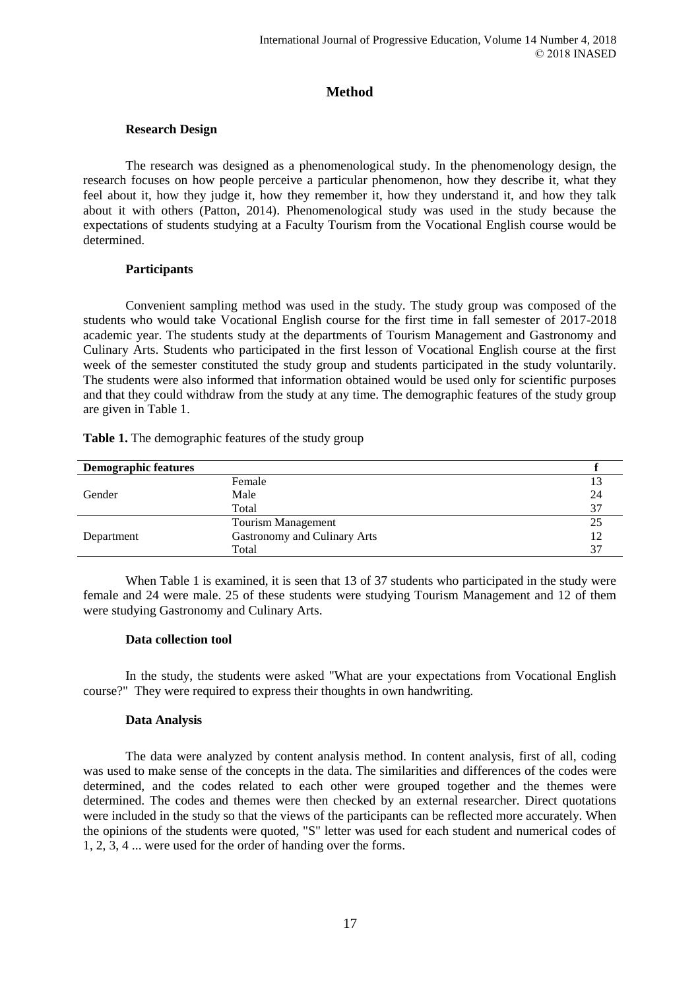# **Method**

### **Research Design**

The research was designed as a phenomenological study. In the phenomenology design, the research focuses on how people perceive a particular phenomenon, how they describe it, what they feel about it, how they judge it, how they remember it, how they understand it, and how they talk about it with others (Patton, 2014). Phenomenological study was used in the study because the expectations of students studying at a Faculty Tourism from the Vocational English course would be determined.

### **Participants**

Convenient sampling method was used in the study. The study group was composed of the students who would take Vocational English course for the first time in fall semester of 2017-2018 academic year. The students study at the departments of Tourism Management and Gastronomy and Culinary Arts. Students who participated in the first lesson of Vocational English course at the first week of the semester constituted the study group and students participated in the study voluntarily. The students were also informed that information obtained would be used only for scientific purposes and that they could withdraw from the study at any time. The demographic features of the study group are given in Table 1.

| <b>Demographic features</b> |                              |    |
|-----------------------------|------------------------------|----|
|                             | Female                       |    |
| Gender                      | Male                         | 24 |
|                             | Total                        | 37 |
|                             | Tourism Management           | 25 |
| Department                  | Gastronomy and Culinary Arts | 12 |
|                             | Total                        |    |

Table 1. The demographic features of the study group

When Table 1 is examined, it is seen that 13 of 37 students who participated in the study were female and 24 were male. 25 of these students were studying Tourism Management and 12 of them were studying Gastronomy and Culinary Arts.

### **Data collection tool**

In the study, the students were asked "What are your expectations from Vocational English course?" They were required to express their thoughts in own handwriting.

### **Data Analysis**

The data were analyzed by content analysis method. In content analysis, first of all, coding was used to make sense of the concepts in the data. The similarities and differences of the codes were determined, and the codes related to each other were grouped together and the themes were determined. The codes and themes were then checked by an external researcher. Direct quotations were included in the study so that the views of the participants can be reflected more accurately. When the opinions of the students were quoted, "S" letter was used for each student and numerical codes of 1, 2, 3, 4 ... were used for the order of handing over the forms.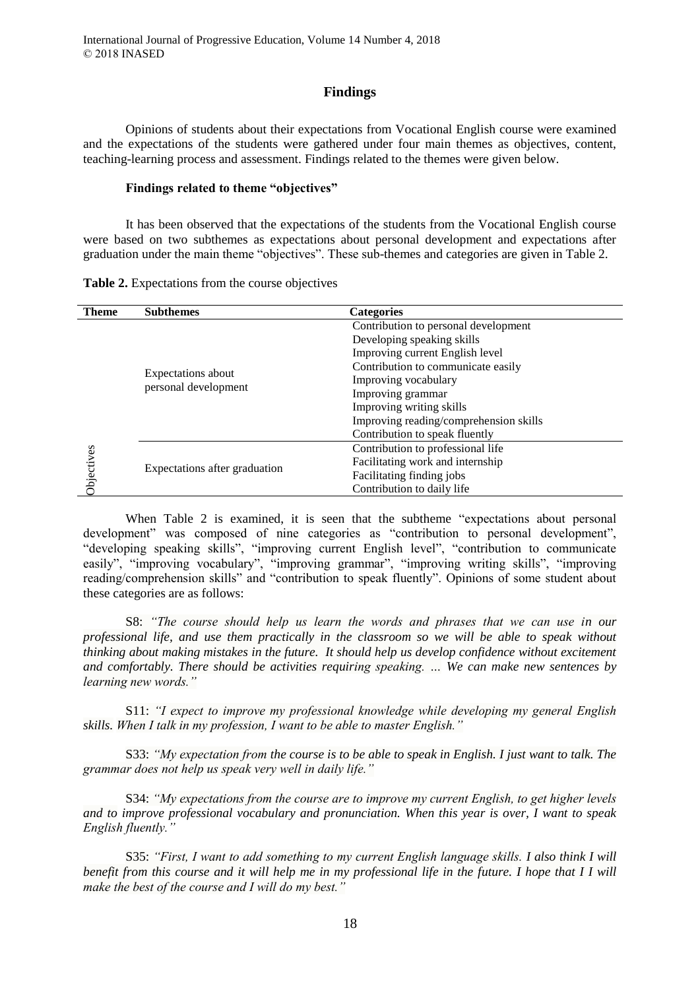### **Findings**

Opinions of students about their expectations from Vocational English course were examined and the expectations of the students were gathered under four main themes as objectives, content, teaching-learning process and assessment. Findings related to the themes were given below.

#### **Findings related to theme "objectives"**

It has been observed that the expectations of the students from the Vocational English course were based on two subthemes as expectations about personal development and expectations after graduation under the main theme "objectives". These sub-themes and categories are given in Table 2.

|  | Table 2. Expectations from the course objectives |  |  |  |  |  |
|--|--------------------------------------------------|--|--|--|--|--|
|--|--------------------------------------------------|--|--|--|--|--|

| <b>Theme</b>      | <b>Subthemes</b>              | <b>Categories</b>                      |  |  |
|-------------------|-------------------------------|----------------------------------------|--|--|
|                   |                               | Contribution to personal development   |  |  |
|                   |                               | Developing speaking skills             |  |  |
|                   |                               | Improving current English level        |  |  |
|                   |                               | Contribution to communicate easily     |  |  |
|                   | Expectations about            | Improving vocabulary                   |  |  |
|                   | personal development          | Improving grammar                      |  |  |
|                   |                               | Improving writing skills               |  |  |
|                   |                               | Improving reading/comprehension skills |  |  |
|                   |                               | Contribution to speak fluently         |  |  |
|                   |                               | Contribution to professional life      |  |  |
| <b>Objectives</b> |                               | Facilitating work and internship       |  |  |
|                   | Expectations after graduation | Facilitating finding jobs              |  |  |
|                   |                               | Contribution to daily life             |  |  |

When Table 2 is examined, it is seen that the subtheme "expectations about personal development" was composed of nine categories as "contribution to personal development", "developing speaking skills", "improving current English level", "contribution to communicate easily", "improving vocabulary", "improving grammar", "improving writing skills", "improving reading/comprehension skills" and "contribution to speak fluently". Opinions of some student about these categories are as follows:

S8: *"The course should help us learn the words and phrases that we can use in our professional life, and use them practically in the classroom so we will be able to speak without thinking about making mistakes in the future. It should help us develop confidence without excitement and comfortably. There should be activities requiring speaking. … We can make new sentences by learning new words."*

S11: *"I expect to improve my professional knowledge while developing my general English skills. When I talk in my profession, I want to be able to master English."*

S33: *"My expectation from the course is to be able to speak in English. I just want to talk. The grammar does not help us speak very well in daily life."*

S34: *"My expectations from the course are to improve my current English, to get higher levels and to improve professional vocabulary and pronunciation. When this year is over, I want to speak English fluently."*

S35: *"First, I want to add something to my current English language skills. I also think I will benefit from this course and it will help me in my professional life in the future. I hope that I I will make the best of the course and I will do my best."*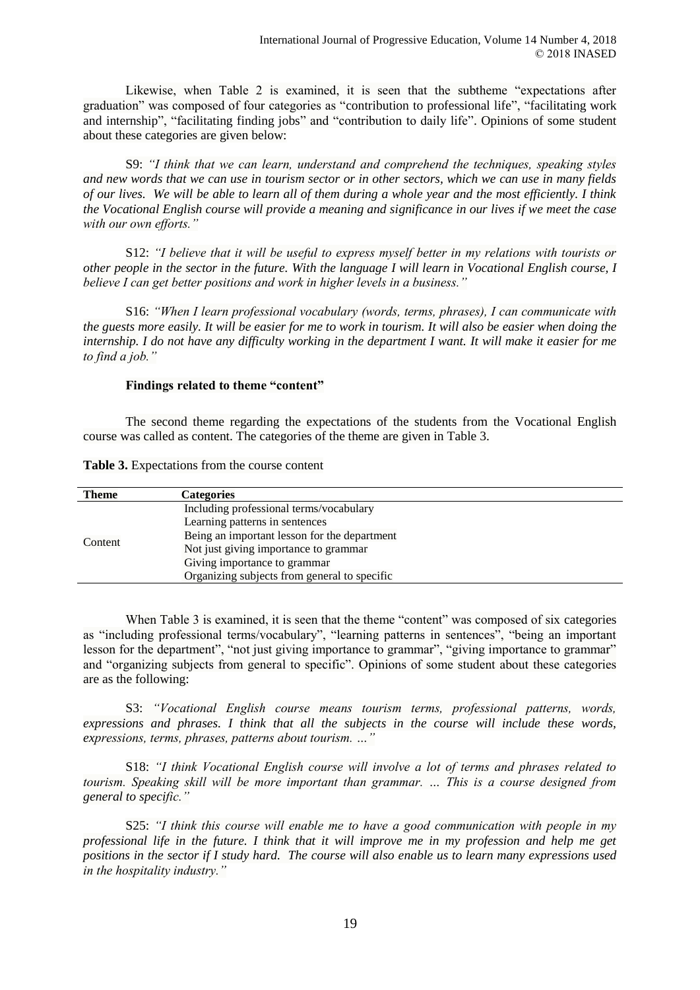Likewise, when Table 2 is examined, it is seen that the subtheme "expectations after graduation" was composed of four categories as "contribution to professional life", "facilitating work and internship", "facilitating finding jobs" and "contribution to daily life". Opinions of some student about these categories are given below:

S9: *"I think that we can learn, understand and comprehend the techniques, speaking styles and new words that we can use in tourism sector or in other sectors, which we can use in many fields of our lives. We will be able to learn all of them during a whole year and the most efficiently. I think the Vocational English course will provide a meaning and significance in our lives if we meet the case with our own efforts."*

S12: *"I believe that it will be useful to express myself better in my relations with tourists or other people in the sector in the future. With the language I will learn in Vocational English course, I believe I can get better positions and work in higher levels in a business."*

S16: *"When I learn professional vocabulary (words, terms, phrases), I can communicate with the guests more easily. It will be easier for me to work in tourism. It will also be easier when doing the internship. I do not have any difficulty working in the department I want. It will make it easier for me to find a job."*

### **Findings related to theme "content"**

The second theme regarding the expectations of the students from the Vocational English course was called as content. The categories of the theme are given in Table 3.

**Table 3.** Expectations from the course content

| Theme   | Categories                                   |
|---------|----------------------------------------------|
| Content | Including professional terms/vocabulary      |
|         | Learning patterns in sentences               |
|         | Being an important lesson for the department |
|         | Not just giving importance to grammar        |
|         | Giving importance to grammar                 |
|         | Organizing subjects from general to specific |

When Table 3 is examined, it is seen that the theme "content" was composed of six categories as "including professional terms/vocabulary", "learning patterns in sentences", "being an important lesson for the department", "not just giving importance to grammar", "giving importance to grammar" and "organizing subjects from general to specific". Opinions of some student about these categories are as the following:

S3: *"Vocational English course means tourism terms, professional patterns, words, expressions and phrases. I think that all the subjects in the course will include these words, expressions, terms, phrases, patterns about tourism. …"* 

S18: *"I think Vocational English course will involve a lot of terms and phrases related to tourism. Speaking skill will be more important than grammar. … This is a course designed from general to specific."*

S25: *"I think this course will enable me to have a good communication with people in my professional life in the future. I think that it will improve me in my profession and help me get positions in the sector if I study hard. The course will also enable us to learn many expressions used in the hospitality industry."*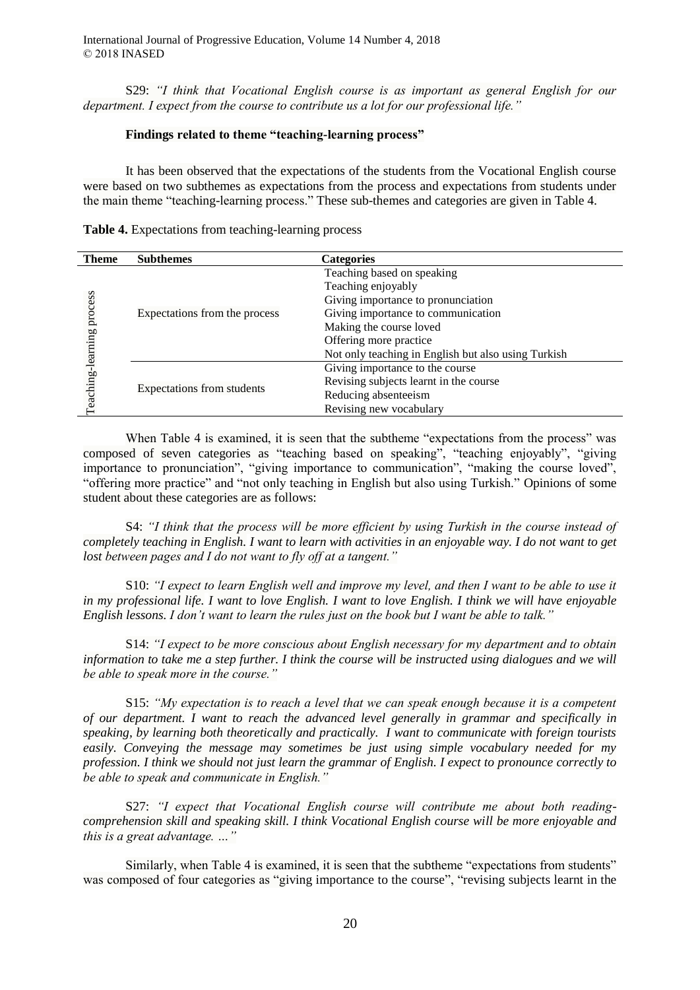International Journal of Progressive Education, Volume 14 Number 4, 2018 © 2018 INASED

S29: *"I think that Vocational English course is as important as general English for our department. I expect from the course to contribute us a lot for our professional life."* 

#### **Findings related to theme "teaching-learning process"**

It has been observed that the expectations of the students from the Vocational English course were based on two subthemes as expectations from the process and expectations from students under the main theme "teaching-learning process." These sub-themes and categories are given in Table 4.

| <b>Theme</b>                    | <b>Subthemes</b>              | <b>Categories</b>                                   |  |  |
|---------------------------------|-------------------------------|-----------------------------------------------------|--|--|
| process<br>earning<br>eaching-l | Expectations from the process | Teaching based on speaking                          |  |  |
|                                 |                               | Teaching enjoyably                                  |  |  |
|                                 |                               | Giving importance to pronunciation                  |  |  |
|                                 |                               | Giving importance to communication                  |  |  |
|                                 |                               | Making the course loved                             |  |  |
|                                 |                               | Offering more practice                              |  |  |
|                                 |                               | Not only teaching in English but also using Turkish |  |  |
|                                 | Expectations from students    | Giving importance to the course                     |  |  |
|                                 |                               | Revising subjects learnt in the course              |  |  |
|                                 |                               | Reducing absenteeism                                |  |  |
|                                 |                               | Revising new vocabulary                             |  |  |

| Table 4. Expectations from teaching-learning process |  |  |  |  |
|------------------------------------------------------|--|--|--|--|
|------------------------------------------------------|--|--|--|--|

When Table 4 is examined, it is seen that the subtheme "expectations from the process" was composed of seven categories as "teaching based on speaking", "teaching enjoyably", "giving importance to pronunciation", "giving importance to communication", "making the course loved", "offering more practice" and "not only teaching in English but also using Turkish." Opinions of some student about these categories are as follows:

S4: *"I think that the process will be more efficient by using Turkish in the course instead of completely teaching in English. I want to learn with activities in an enjoyable way. I do not want to get lost between pages and I do not want to fly off at a tangent."*

S10: *"I expect to learn English well and improve my level, and then I want to be able to use it in my professional life. I want to love English. I want to love English. I think we will have enjoyable English lessons. I don't want to learn the rules just on the book but I want be able to talk."*

S14: *"I expect to be more conscious about English necessary for my department and to obtain information to take me a step further. I think the course will be instructed using dialogues and we will be able to speak more in the course."*

S15: *"My expectation is to reach a level that we can speak enough because it is a competent of our department. I want to reach the advanced level generally in grammar and specifically in speaking, by learning both theoretically and practically. I want to communicate with foreign tourists easily. Conveying the message may sometimes be just using simple vocabulary needed for my profession. I think we should not just learn the grammar of English. I expect to pronounce correctly to be able to speak and communicate in English."* 

S27: *"I expect that Vocational English course will contribute me about both readingcomprehension skill and speaking skill. I think Vocational English course will be more enjoyable and this is a great advantage. …"*

Similarly, when Table 4 is examined, it is seen that the subtheme "expectations from students" was composed of four categories as "giving importance to the course", "revising subjects learnt in the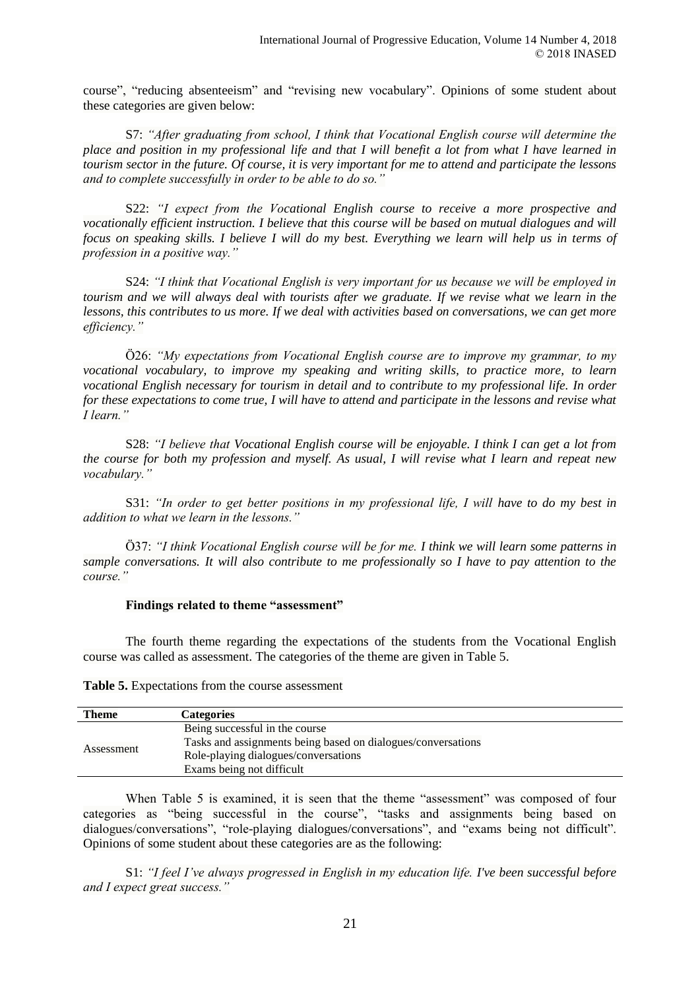course", "reducing absenteeism" and "revising new vocabulary". Opinions of some student about these categories are given below:

S7: *"After graduating from school, I think that Vocational English course will determine the place and position in my professional life and that I will benefit a lot from what I have learned in tourism sector in the future. Of course, it is very important for me to attend and participate the lessons and to complete successfully in order to be able to do so."*

S22: *"I expect from the Vocational English course to receive a more prospective and vocationally efficient instruction. I believe that this course will be based on mutual dialogues and will focus on speaking skills. I believe I will do my best. Everything we learn will help us in terms of profession in a positive way."*

S24: *"I think that Vocational English is very important for us because we will be employed in tourism and we will always deal with tourists after we graduate. If we revise what we learn in the lessons, this contributes to us more. If we deal with activities based on conversations, we can get more efficiency."*

Ö26: *"My expectations from Vocational English course are to improve my grammar, to my vocational vocabulary, to improve my speaking and writing skills, to practice more, to learn vocational English necessary for tourism in detail and to contribute to my professional life. In order for these expectations to come true, I will have to attend and participate in the lessons and revise what I learn."*

S28: *"I believe that Vocational English course will be enjoyable. I think I can get a lot from the course for both my profession and myself. As usual, I will revise what I learn and repeat new vocabulary."*

S31: *"In order to get better positions in my professional life, I will have to do my best in addition to what we learn in the lessons."*

Ö37: *"I think Vocational English course will be for me. I think we will learn some patterns in sample conversations. It will also contribute to me professionally so I have to pay attention to the course."* 

### **Findings related to theme "assessment"**

The fourth theme regarding the expectations of the students from the Vocational English course was called as assessment. The categories of the theme are given in Table 5.

**Table 5.** Expectations from the course assessment

| <b>Theme</b> | <b>Categories</b>                                            |
|--------------|--------------------------------------------------------------|
|              | Being successful in the course                               |
| Assessment   | Tasks and assignments being based on dialogues/conversations |
|              | Role-playing dialogues/conversations                         |
|              | Exams being not difficult                                    |

When Table 5 is examined, it is seen that the theme "assessment" was composed of four categories as "being successful in the course", "tasks and assignments being based on dialogues/conversations", "role-playing dialogues/conversations", and "exams being not difficult". Opinions of some student about these categories are as the following:

S1: *"I feel I've always progressed in English in my education life. I've been successful before and I expect great success."*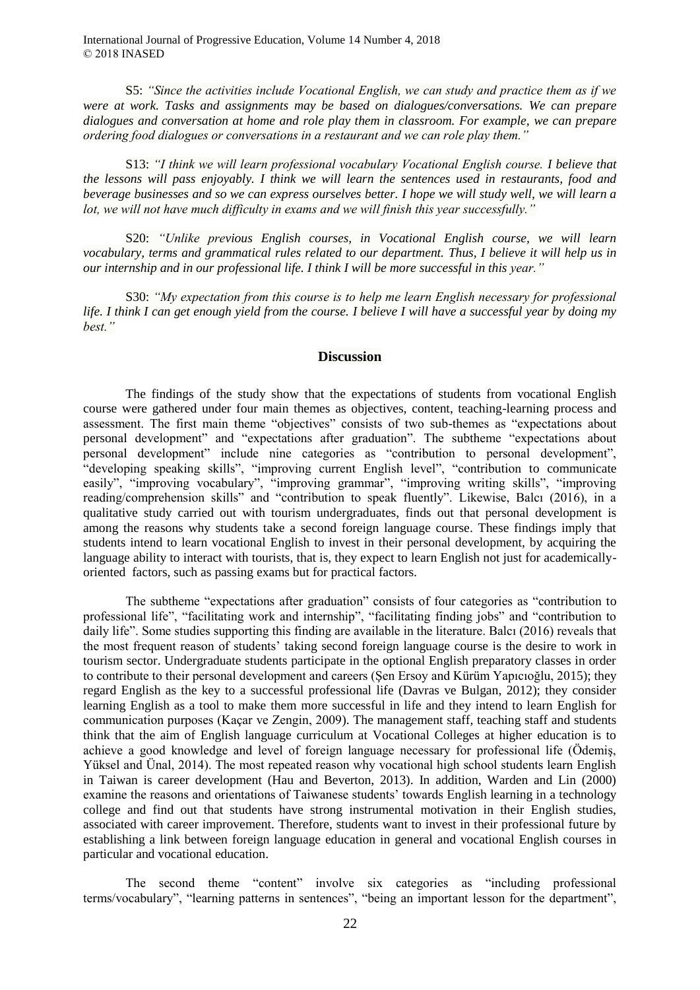International Journal of Progressive Education, Volume 14 Number 4, 2018 © 2018 INASED

S5: *"Since the activities include Vocational English, we can study and practice them as if we were at work. Tasks and assignments may be based on dialogues/conversations. We can prepare dialogues and conversation at home and role play them in classroom. For example, we can prepare ordering food dialogues or conversations in a restaurant and we can role play them."* 

S13: *"I think we will learn professional vocabulary Vocational English course. I believe that the lessons will pass enjoyably. I think we will learn the sentences used in restaurants, food and beverage businesses and so we can express ourselves better. I hope we will study well, we will learn a lot, we will not have much difficulty in exams and we will finish this year successfully."*

S20: *"Unlike previous English courses, in Vocational English course, we will learn vocabulary, terms and grammatical rules related to our department. Thus, I believe it will help us in our internship and in our professional life. I think I will be more successful in this year."*

S30: *"My expectation from this course is to help me learn English necessary for professional life. I think I can get enough yield from the course. I believe I will have a successful year by doing my best."*

#### **Discussion**

The findings of the study show that the expectations of students from vocational English course were gathered under four main themes as objectives, content, teaching-learning process and assessment. The first main theme "objectives" consists of two sub-themes as "expectations about personal development" and "expectations after graduation". The subtheme "expectations about personal development" include nine categories as "contribution to personal development", "developing speaking skills", "improving current English level", "contribution to communicate easily", "improving vocabulary", "improving grammar", "improving writing skills", "improving reading/comprehension skills" and "contribution to speak fluently". Likewise, Balcı (2016), in a qualitative study carried out with tourism undergraduates, finds out that personal development is among the reasons why students take a second foreign language course. These findings imply that students intend to learn vocational English to invest in their personal development, by acquiring the language ability to interact with tourists, that is, they expect to learn English not just for academicallyoriented factors, such as passing exams but for practical factors.

The subtheme "expectations after graduation" consists of four categories as "contribution to professional life", "facilitating work and internship", "facilitating finding jobs" and "contribution to daily life". Some studies supporting this finding are available in the literature. Balcı (2016) reveals that the most frequent reason of students' taking second foreign language course is the desire to work in tourism sector. Undergraduate students participate in the optional English preparatory classes in order to contribute to their personal development and careers (Şen Ersoy and Kürüm Yapıcıoğlu, 2015); they regard English as the key to a successful professional life (Davras ve Bulgan, 2012); they consider learning English as a tool to make them more successful in life and they intend to learn English for communication purposes (Kaçar ve Zengin, 2009). The management staff, teaching staff and students think that the aim of English language curriculum at Vocational Colleges at higher education is to achieve a good knowledge and level of foreign language necessary for professional life (Ödemiş, Yüksel and Ünal, 2014). The most repeated reason why vocational high school students learn English in Taiwan is career development (Hau and Beverton, 2013). In addition, Warden and Lin (2000) examine the reasons and orientations of Taiwanese students' towards English learning in a technology college and find out that students have strong instrumental motivation in their English studies, associated with career improvement. Therefore, students want to invest in their professional future by establishing a link between foreign language education in general and vocational English courses in particular and vocational education.

The second theme "content" involve six categories as "including professional terms/vocabulary", "learning patterns in sentences", "being an important lesson for the department",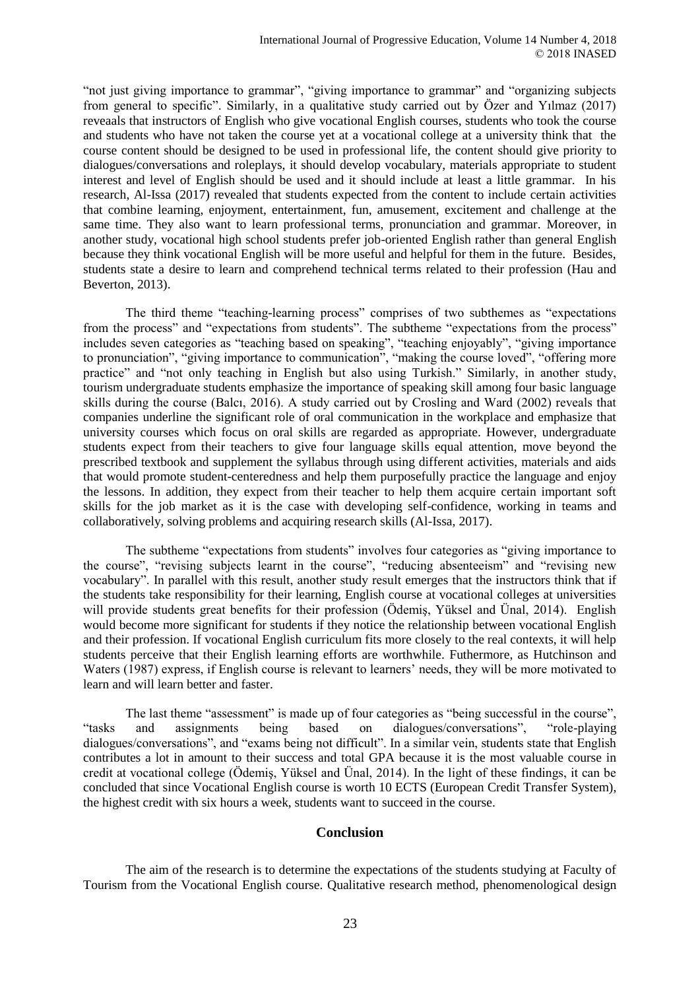"not just giving importance to grammar", "giving importance to grammar" and "organizing subjects from general to specific". Similarly, in a qualitative study carried out by Özer and Yılmaz (2017) reveaals that instructors of English who give vocational English courses, students who took the course and students who have not taken the course yet at a vocational college at a university think that the course content should be designed to be used in professional life, the content should give priority to dialogues/conversations and roleplays, it should develop vocabulary, materials appropriate to student interest and level of English should be used and it should include at least a little grammar. In his research, Al-Issa (2017) revealed that students expected from the content to include certain activities that combine learning, enjoyment, entertainment, fun, amusement, excitement and challenge at the same time. They also want to learn professional terms, pronunciation and grammar. Moreover, in another study, vocational high school students prefer job-oriented English rather than general English because they think vocational English will be more useful and helpful for them in the future. Besides, students state a desire to learn and comprehend technical terms related to their profession (Hau and Beverton, 2013).

The third theme "teaching-learning process" comprises of two subthemes as "expectations from the process" and "expectations from students". The subtheme "expectations from the process" includes seven categories as "teaching based on speaking", "teaching enjoyably", "giving importance to pronunciation", "giving importance to communication", "making the course loved", "offering more practice" and "not only teaching in English but also using Turkish." Similarly, in another study, tourism undergraduate students emphasize the importance of speaking skill among four basic language skills during the course (Balcı, 2016). A study carried out by Crosling and Ward (2002) reveals that companies underline the significant role of oral communication in the workplace and emphasize that university courses which focus on oral skills are regarded as appropriate. However, undergraduate students expect from their teachers to give four language skills equal attention, move beyond the prescribed textbook and supplement the syllabus through using different activities, materials and aids that would promote student-centeredness and help them purposefully practice the language and enjoy the lessons. In addition, they expect from their teacher to help them acquire certain important soft skills for the job market as it is the case with developing self-confidence, working in teams and collaboratively, solving problems and acquiring research skills (Al-Issa, 2017).

The subtheme "expectations from students" involves four categories as "giving importance to the course", "revising subjects learnt in the course", "reducing absenteeism" and "revising new vocabulary". In parallel with this result, another study result emerges that the instructors think that if the students take responsibility for their learning, English course at vocational colleges at universities will provide students great benefits for their profession (Ödemiş, Yüksel and Ünal, 2014). English would become more significant for students if they notice the relationship between vocational English and their profession. If vocational English curriculum fits more closely to the real contexts, it will help students perceive that their English learning efforts are worthwhile. Futhermore, as Hutchinson and Waters (1987) express, if English course is relevant to learners' needs, they will be more motivated to learn and will learn better and faster.

The last theme "assessment" is made up of four categories as "being successful in the course", "tasks and assignments being based on dialogues/conversations", "role-playing dialogues/conversations", and "exams being not difficult". In a similar vein, students state that English contributes a lot in amount to their success and total GPA because it is the most valuable course in credit at vocational college (Ödemiş, Yüksel and Ünal, 2014). In the light of these findings, it can be concluded that since Vocational English course is worth 10 ECTS (European Credit Transfer System), the highest credit with six hours a week, students want to succeed in the course.

# **Conclusion**

The aim of the research is to determine the expectations of the students studying at Faculty of Tourism from the Vocational English course. Qualitative research method, phenomenological design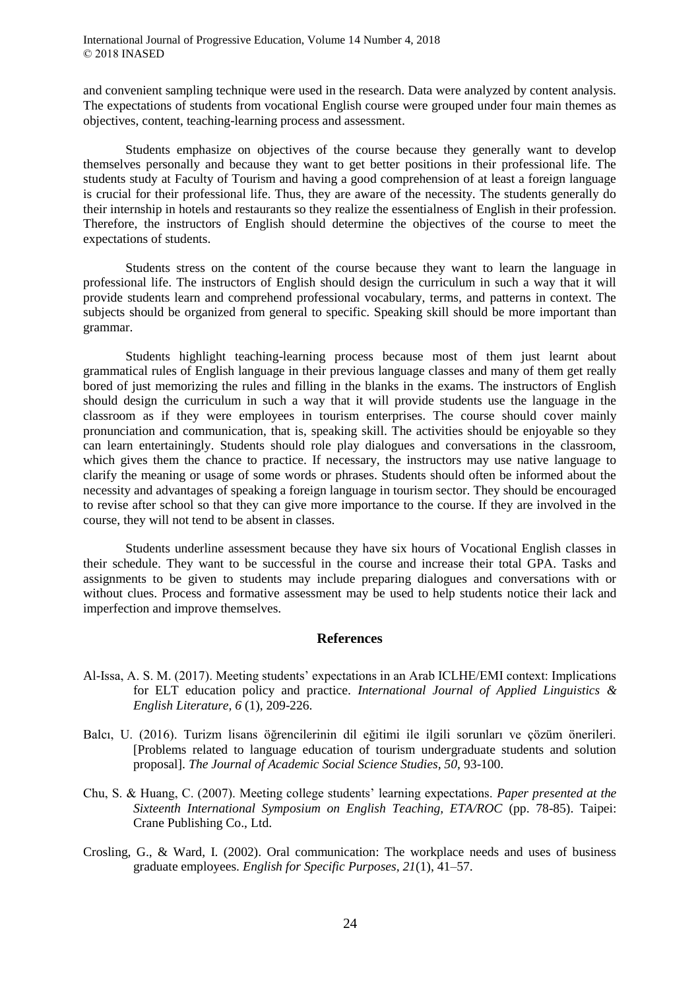and convenient sampling technique were used in the research. Data were analyzed by content analysis. The expectations of students from vocational English course were grouped under four main themes as objectives, content, teaching-learning process and assessment.

Students emphasize on objectives of the course because they generally want to develop themselves personally and because they want to get better positions in their professional life. The students study at Faculty of Tourism and having a good comprehension of at least a foreign language is crucial for their professional life. Thus, they are aware of the necessity. The students generally do their internship in hotels and restaurants so they realize the essentialness of English in their profession. Therefore, the instructors of English should determine the objectives of the course to meet the expectations of students.

Students stress on the content of the course because they want to learn the language in professional life. The instructors of English should design the curriculum in such a way that it will provide students learn and comprehend professional vocabulary, terms, and patterns in context. The subjects should be organized from general to specific. Speaking skill should be more important than grammar.

Students highlight teaching-learning process because most of them just learnt about grammatical rules of English language in their previous language classes and many of them get really bored of just memorizing the rules and filling in the blanks in the exams. The instructors of English should design the curriculum in such a way that it will provide students use the language in the classroom as if they were employees in tourism enterprises. The course should cover mainly pronunciation and communication, that is, speaking skill. The activities should be enjoyable so they can learn entertainingly. Students should role play dialogues and conversations in the classroom, which gives them the chance to practice. If necessary, the instructors may use native language to clarify the meaning or usage of some words or phrases. Students should often be informed about the necessity and advantages of speaking a foreign language in tourism sector. They should be encouraged to revise after school so that they can give more importance to the course. If they are involved in the course, they will not tend to be absent in classes.

Students underline assessment because they have six hours of Vocational English classes in their schedule. They want to be successful in the course and increase their total GPA. Tasks and assignments to be given to students may include preparing dialogues and conversations with or without clues. Process and formative assessment may be used to help students notice their lack and imperfection and improve themselves.

# **References**

- Al-Issa, A. S. M. (2017). Meeting students' expectations in an Arab ICLHE/EMI context: Implications for ELT education policy and practice. *International Journal of Applied Linguistics & English Literature, 6* (1), 209-226.
- Balcı, U. (2016). Turizm lisans öğrencilerinin dil eğitimi ile ilgili sorunları ve çözüm önerileri. [Problems related to language education of tourism undergraduate students and solution proposal]. *The Journal of Academic Social Science Studies, 50, 93-100.*
- Chu, S. & Huang, C. (2007). Meeting college students' learning expectations. *Paper presented at the Sixteenth International Symposium on English Teaching, ETA/ROC* (pp. 78-85). Taipei: Crane Publishing Co., Ltd.
- Crosling, G., & Ward, I. (2002). Oral communication: The workplace needs and uses of business graduate employees. *English for Specific Purposes, 21*(1), 41–57.